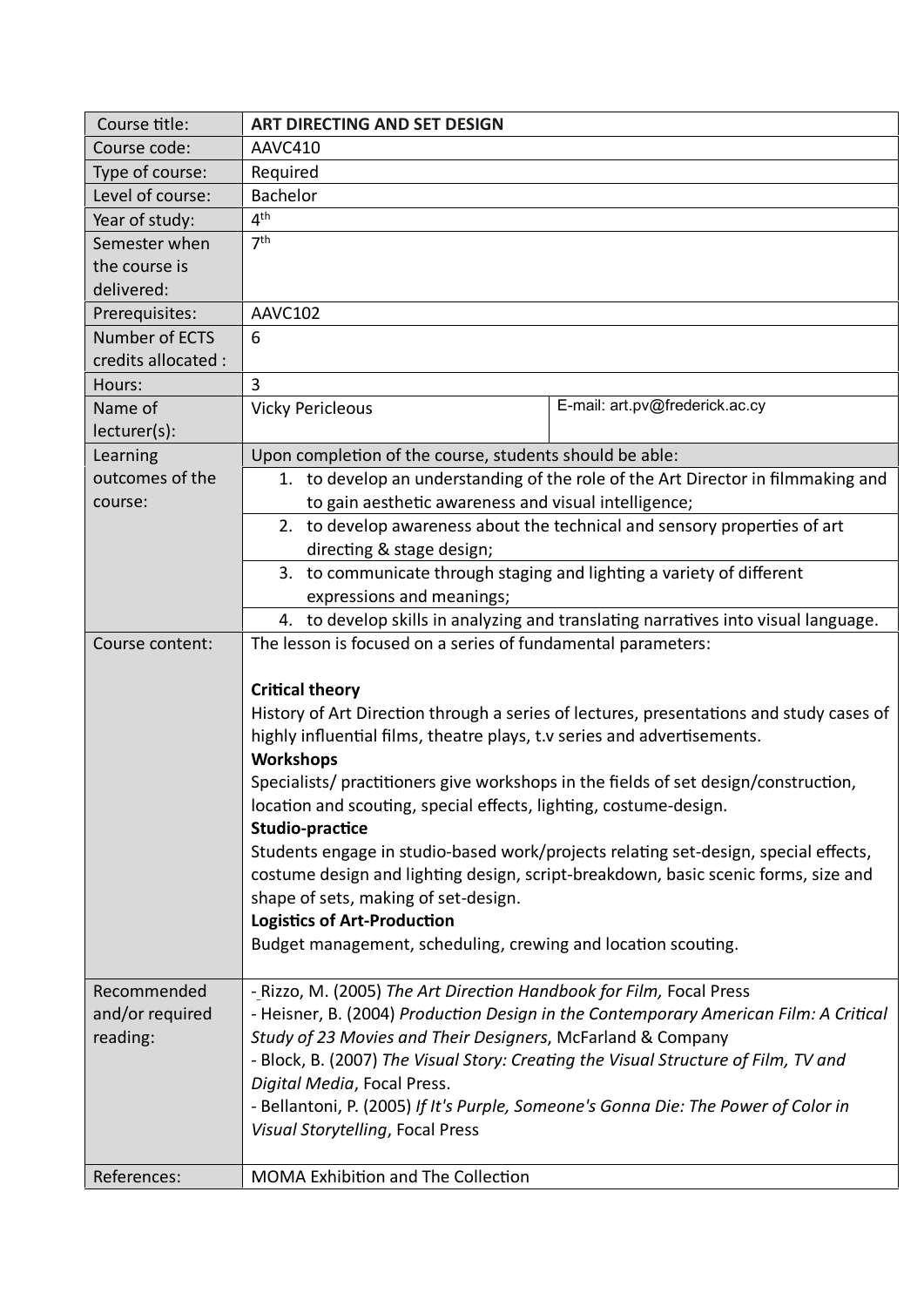| Course title:       | <b>ART DIRECTING AND SET DESIGN</b>                                                                                                                                                                                                                     |                                |  |
|---------------------|---------------------------------------------------------------------------------------------------------------------------------------------------------------------------------------------------------------------------------------------------------|--------------------------------|--|
| Course code:        | AAVC410                                                                                                                                                                                                                                                 |                                |  |
| Type of course:     | Required                                                                                                                                                                                                                                                |                                |  |
| Level of course:    | Bachelor                                                                                                                                                                                                                                                |                                |  |
| Year of study:      | 4 <sup>th</sup>                                                                                                                                                                                                                                         |                                |  |
| Semester when       | 7 <sup>th</sup>                                                                                                                                                                                                                                         |                                |  |
| the course is       |                                                                                                                                                                                                                                                         |                                |  |
| delivered:          |                                                                                                                                                                                                                                                         |                                |  |
| Prerequisites:      | AAVC102                                                                                                                                                                                                                                                 |                                |  |
| Number of ECTS      | 6                                                                                                                                                                                                                                                       |                                |  |
| credits allocated : |                                                                                                                                                                                                                                                         |                                |  |
| Hours:              | 3                                                                                                                                                                                                                                                       |                                |  |
| Name of             | <b>Vicky Pericleous</b>                                                                                                                                                                                                                                 | E-mail: art.pv@frederick.ac.cy |  |
| lecturer(s):        |                                                                                                                                                                                                                                                         |                                |  |
| Learning            | Upon completion of the course, students should be able:                                                                                                                                                                                                 |                                |  |
| outcomes of the     | 1. to develop an understanding of the role of the Art Director in filmmaking and                                                                                                                                                                        |                                |  |
| course:             | to gain aesthetic awareness and visual intelligence;                                                                                                                                                                                                    |                                |  |
|                     | 2. to develop awareness about the technical and sensory properties of art                                                                                                                                                                               |                                |  |
|                     | directing & stage design;                                                                                                                                                                                                                               |                                |  |
|                     | 3. to communicate through staging and lighting a variety of different                                                                                                                                                                                   |                                |  |
|                     | expressions and meanings;                                                                                                                                                                                                                               |                                |  |
|                     | 4. to develop skills in analyzing and translating narratives into visual language.                                                                                                                                                                      |                                |  |
| Course content:     | The lesson is focused on a series of fundamental parameters:                                                                                                                                                                                            |                                |  |
|                     | <b>Critical theory</b><br>History of Art Direction through a series of lectures, presentations and study cases of                                                                                                                                       |                                |  |
|                     | highly influential films, theatre plays, t.v series and advertisements.<br><b>Workshops</b><br>Specialists/ practitioners give workshops in the fields of set design/construction,<br>location and scouting, special effects, lighting, costume-design. |                                |  |
|                     |                                                                                                                                                                                                                                                         |                                |  |
|                     | Studio-practice                                                                                                                                                                                                                                         |                                |  |
|                     | Students engage in studio-based work/projects relating set-design, special effects,                                                                                                                                                                     |                                |  |
|                     | costume design and lighting design, script-breakdown, basic scenic forms, size and                                                                                                                                                                      |                                |  |
|                     | shape of sets, making of set-design.                                                                                                                                                                                                                    |                                |  |
|                     | <b>Logistics of Art-Production</b>                                                                                                                                                                                                                      |                                |  |
|                     | Budget management, scheduling, crewing and location scouting.                                                                                                                                                                                           |                                |  |
| Recommended         | - Rizzo, M. (2005) The Art Direction Handbook for Film, Focal Press                                                                                                                                                                                     |                                |  |
| and/or required     | - Heisner, B. (2004) Production Design in the Contemporary American Film: A Critical                                                                                                                                                                    |                                |  |
| reading:            | Study of 23 Movies and Their Designers, McFarland & Company                                                                                                                                                                                             |                                |  |
|                     | - Block, B. (2007) The Visual Story: Creating the Visual Structure of Film, TV and                                                                                                                                                                      |                                |  |
|                     | Digital Media, Focal Press.                                                                                                                                                                                                                             |                                |  |
|                     | - Bellantoni, P. (2005) If It's Purple, Someone's Gonna Die: The Power of Color in                                                                                                                                                                      |                                |  |
|                     | Visual Storytelling, Focal Press                                                                                                                                                                                                                        |                                |  |
|                     |                                                                                                                                                                                                                                                         |                                |  |
| References:         | MOMA Exhibition and The Collection                                                                                                                                                                                                                      |                                |  |